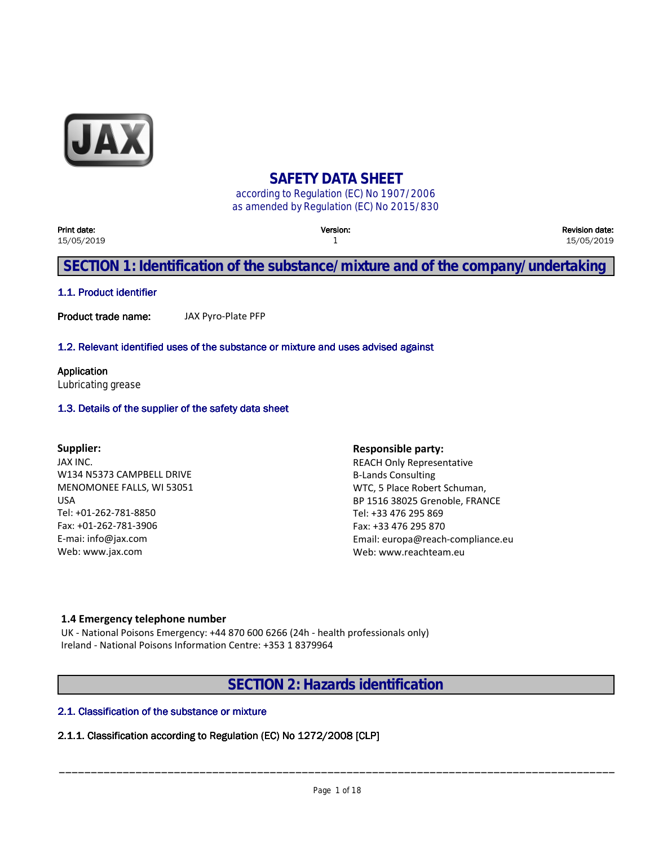

## **SAFETY DATA SHEET**

according to Regulation (EC) No 1907/2006 as amended by Regulation (EC) No 2015/830

| Print date:<br>15/05/2019                                                         | <b>Version:</b> | <b>Revision date:</b><br>15/05/2019 |  |
|-----------------------------------------------------------------------------------|-----------------|-------------------------------------|--|
| SECTION 1: Identification of the substance/mixture and of the company/undertaking |                 |                                     |  |

#### **1.1. Product identifier**

**Product trade name:** JAX Pyro-Plate PFP

#### **1.2. Relevant identified uses of the substance or mixture and uses advised against**

**Application** Lubricating grease

#### **1.3. Details of the supplier of the safety data sheet**

#### **Supplier:**

JAX INC. W134 N5373 CAMPBELL DRIVE MENOMONEE FALLS, WI 53051 USA Tel: +01-262-781-8850 Fax: +01-262-781-3906 E-mai: info@jax.com Web: www.jax.com

**Responsible party:** REACH Only Representative B-Lands Consulting WTC, 5 Place Robert Schuman, BP 1516 38025 Grenoble, FRANCE Tel: +33 476 295 869 Fax: +33 476 295 870 Email: europa@reach-compliance.eu Web: www.reachteam.eu

#### **1.4 Emergency telephone number**

UK - National Poisons Emergency: +44 870 600 6266 (24h - health professionals only) Ireland - National Poisons Information Centre: +353 1 8379964

**SECTION 2: Hazards identification**

#### **2.1. Classification of the substance or mixture**

#### **2.1.1. Classification according to Regulation (EC) No 1272/2008 [CLP]**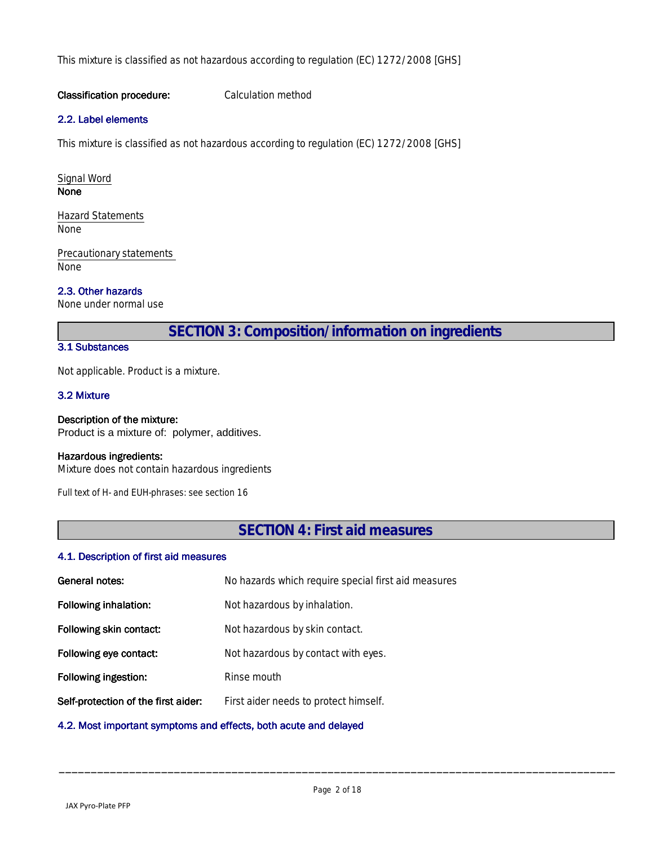This mixture is classified as not hazardous according to regulation (EC) 1272/2008 [GHS]

#### **Classification procedure:** Calculation method

#### **2.2. Label elements**

This mixture is classified as not hazardous according to regulation (EC) 1272/2008 [GHS]

Signal Word **None None None None None None None None None None None None None** 

Hazard Statements None

Precautionary statements None

#### **2.3. Other hazards**

None under normal use

**SECTION 3: Composition/information on ingredients**

#### **3.1 Substances**

Not applicable. Product is a mixture.

#### **3.2 Mixture**

#### **Description of the mixture:**

Product is a mixture of: polymer, additives.

#### **Hazardous ingredients:**

Mixture does not contain hazardous ingredients

*Full text of H- and EUH-phrases: see section 16*

**SECTION 4: First aid measures**

#### **4.1. Description of first aid measures**

| General notes:                      | No hazards which require special first aid measures |
|-------------------------------------|-----------------------------------------------------|
| Following inhalation:               | Not hazardous by inhalation.                        |
| Following skin contact:             | Not hazardous by skin contact.                      |
| Following eye contact:              | Not hazardous by contact with eyes.                 |
| Following ingestion:                | Rinse mouth                                         |
| Self-protection of the first aider: | First aider needs to protect himself.               |
|                                     |                                                     |

#### **4.2. Most important symptoms and effects, both acute and delayed**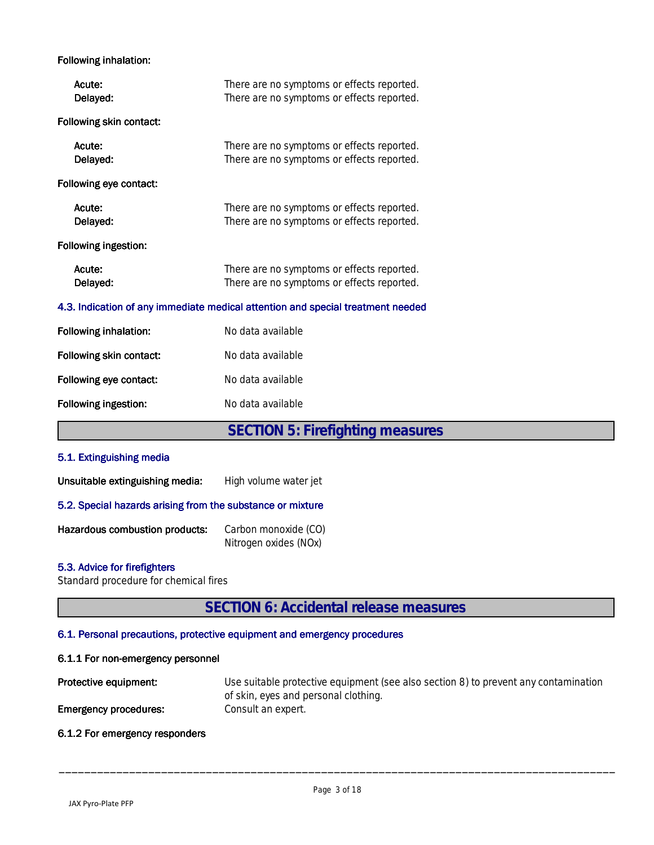#### **Following inhalation:**

| Acute:<br>Delayed:                                                              | There are no symptoms or effects reported.<br>There are no symptoms or effects reported. |  |  |
|---------------------------------------------------------------------------------|------------------------------------------------------------------------------------------|--|--|
| Following skin contact:                                                         |                                                                                          |  |  |
| Acute:<br>Delayed:                                                              | There are no symptoms or effects reported.<br>There are no symptoms or effects reported. |  |  |
| Following eye contact:                                                          |                                                                                          |  |  |
| Acute:<br>Delayed:                                                              | There are no symptoms or effects reported.<br>There are no symptoms or effects reported. |  |  |
| Following ingestion:                                                            |                                                                                          |  |  |
| Acute:<br>Delayed:                                                              | There are no symptoms or effects reported.<br>There are no symptoms or effects reported. |  |  |
| 4.3. Indication of any immediate medical attention and special treatment needed |                                                                                          |  |  |
| <b>Following inhalation:</b>                                                    | No data available                                                                        |  |  |
| Following skin contact:                                                         | No data available                                                                        |  |  |
| Following eye contact:                                                          | No data available                                                                        |  |  |
| Following ingestion:                                                            | No data available                                                                        |  |  |
|                                                                                 | <b>SECTION 5: Firefighting measures</b>                                                  |  |  |
| 5.1. Extinguishing media                                                        |                                                                                          |  |  |
| Unsuitable extinguishing media:                                                 | High volume water jet                                                                    |  |  |
| 5.2. Special hazards arising from the substance or mixture                      |                                                                                          |  |  |
| Hazardous combustion products:                                                  | Carbon monoxide (CO)<br>Nitrogen oxides (NOx)                                            |  |  |

#### **5.3. Advice for firefighters**

Standard procedure for chemical fires

# **SECTION 6: Accidental release measures**

#### **6.1. Personal precautions, protective equipment and emergency procedures**

#### **6.1.1 For non-emergency personnel**

| Protective equipment:        | Use suitable protective equipment (see also section 8) to prevent any contamination |
|------------------------------|-------------------------------------------------------------------------------------|
|                              | of skin, eyes and personal clothing.                                                |
| <b>Emergency procedures:</b> | Consult an expert.                                                                  |

**6.1.2 For emergency responders**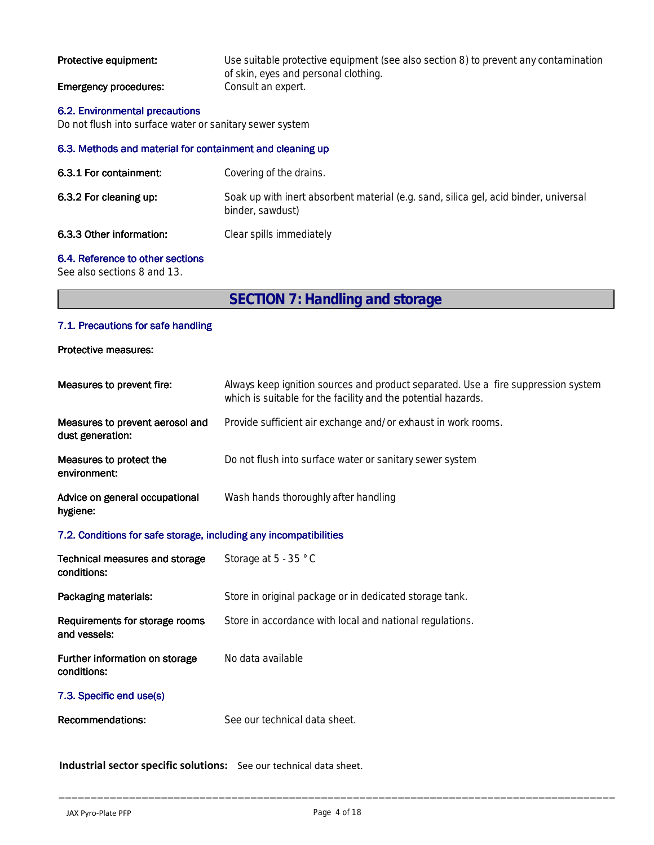| Protective equipment:        | Use suitable protective equipment (see also section 8) to prevent any contamination |
|------------------------------|-------------------------------------------------------------------------------------|
|                              | of skin, eyes and personal clothing.                                                |
| <b>Emergency procedures:</b> | Consult an expert.                                                                  |

#### **6.2. Environmental precautions**

Do not flush into surface water or sanitary sewer system

#### **6.3. Methods and material for containment and cleaning up**

| 6.3.1 For containment:   | Covering of the drains.                                                                                  |
|--------------------------|----------------------------------------------------------------------------------------------------------|
| 6.3.2 For cleaning up:   | Soak up with inert absorbent material (e.g. sand, silica gel, acid binder, universal<br>binder, sawdust) |
| 6.3.3 Other information: | Clear spills immediately                                                                                 |

#### **6.4. Reference to other sections**

See also sections 8 and 13.

**SECTION 7: Handling and storage**

#### **7.1. Precautions for safe handling**

**Protective measures:**

| Measures to prevent fire:                                         | Always keep ignition sources and product separated. Use a fire suppression system<br>which is suitable for the facility and the potential hazards. |  |  |
|-------------------------------------------------------------------|----------------------------------------------------------------------------------------------------------------------------------------------------|--|--|
| Measures to prevent aerosol and<br>dust generation:               | Provide sufficient air exchange and/or exhaust in work rooms.                                                                                      |  |  |
| Measures to protect the<br>environment:                           | Do not flush into surface water or sanitary sewer system                                                                                           |  |  |
| Advice on general occupational<br>hygiene:                        | Wash hands thoroughly after handling                                                                                                               |  |  |
| 7.2. Conditions for safe storage, including any incompatibilities |                                                                                                                                                    |  |  |
| Technical measures and storage<br>conditions:                     | Storage at 5 - 35 °C                                                                                                                               |  |  |
| Packaging materials:                                              | Store in original package or in dedicated storage tank.                                                                                            |  |  |
| Requirements for storage rooms<br>and vessels:                    | Store in accordance with local and national regulations.                                                                                           |  |  |
| Further information on storage<br>conditions:                     | No data available                                                                                                                                  |  |  |
| 7.3. Specific end use(s)                                          |                                                                                                                                                    |  |  |
| Recommendations:                                                  | See our technical data sheet.                                                                                                                      |  |  |
|                                                                   |                                                                                                                                                    |  |  |

**Industrial sector specific solutions:** See our technical data sheet.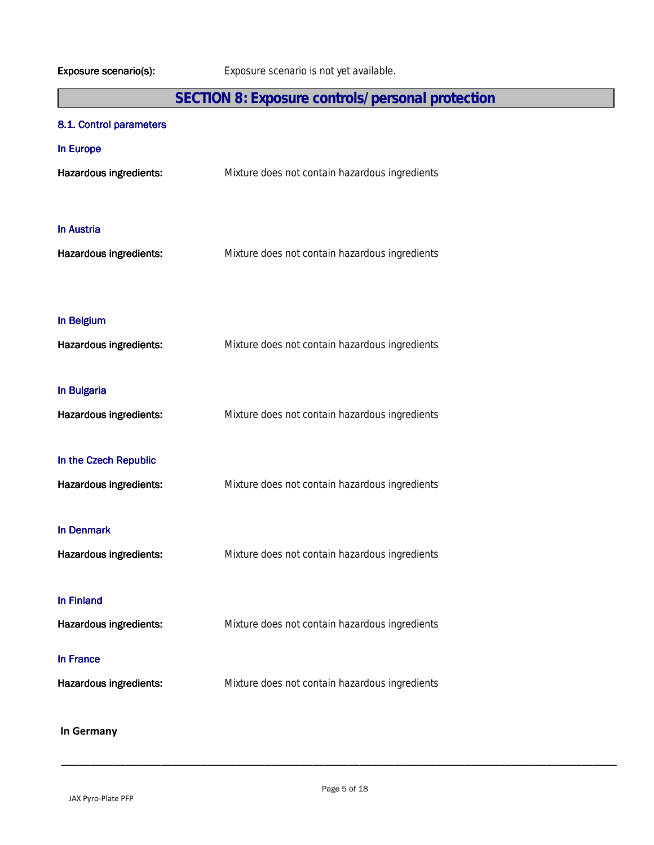# **SECTION 8: Exposure controls/personal protection**

### **8.1. Control parameters**

| In Europe<br>Hazardous ingredients:             | Mixture does not contain hazardous ingredients |
|-------------------------------------------------|------------------------------------------------|
| <b>In Austria</b><br>Hazardous ingredients:     | Mixture does not contain hazardous ingredients |
| In Belgium<br>Hazardous ingredients:            | Mixture does not contain hazardous ingredients |
| In Bulgaria<br>Hazardous ingredients:           | Mixture does not contain hazardous ingredients |
| In the Czech Republic<br>Hazardous ingredients: | Mixture does not contain hazardous ingredients |
| <b>In Denmark</b><br>Hazardous ingredients:     | Mixture does not contain hazardous ingredients |
| <b>In Finland</b><br>Hazardous ingredients:     | Mixture does not contain hazardous ingredients |
| In France<br>Hazardous ingredients:             | Mixture does not contain hazardous ingredients |
| In Germany                                      |                                                |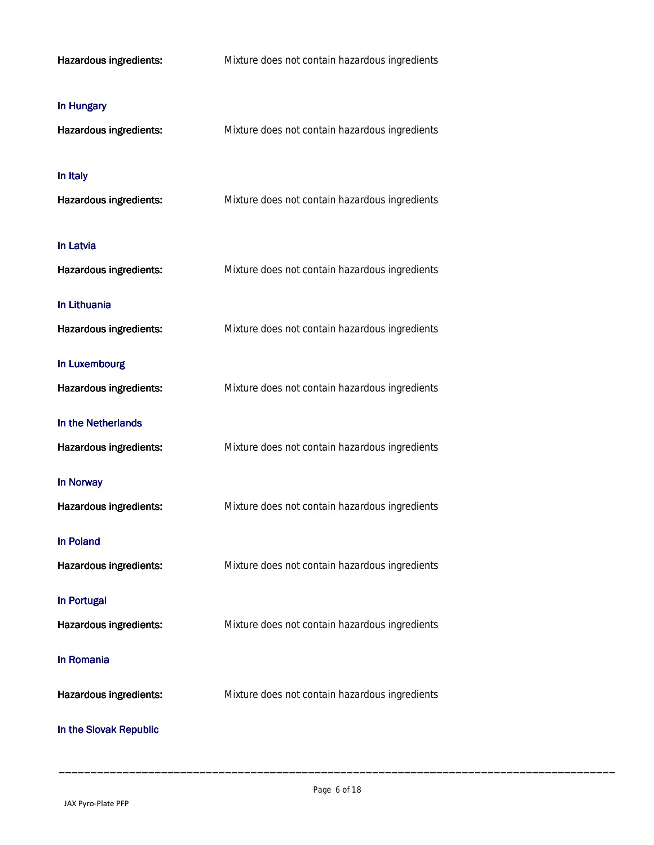| Hazardous ingredients: | Mixture does not contain hazardous ingredients |
|------------------------|------------------------------------------------|
| In Hungary             |                                                |
| Hazardous ingredients: | Mixture does not contain hazardous ingredients |
| In Italy               |                                                |
| Hazardous ingredients: | Mixture does not contain hazardous ingredients |
| In Latvia              |                                                |
| Hazardous ingredients: | Mixture does not contain hazardous ingredients |
| In Lithuania           |                                                |
| Hazardous ingredients: | Mixture does not contain hazardous ingredients |
| In Luxembourg          |                                                |
| Hazardous ingredients: | Mixture does not contain hazardous ingredients |
| In the Netherlands     |                                                |
| Hazardous ingredients: | Mixture does not contain hazardous ingredients |
| In Norway              |                                                |
| Hazardous ingredients: | Mixture does not contain hazardous ingredients |
| <b>In Poland</b>       |                                                |
| Hazardous ingredients: | Mixture does not contain hazardous ingredients |
| In Portugal            |                                                |
| Hazardous ingredients: | Mixture does not contain hazardous ingredients |
| In Romania             |                                                |
| Hazardous ingredients: | Mixture does not contain hazardous ingredients |
| In the Slovak Republic |                                                |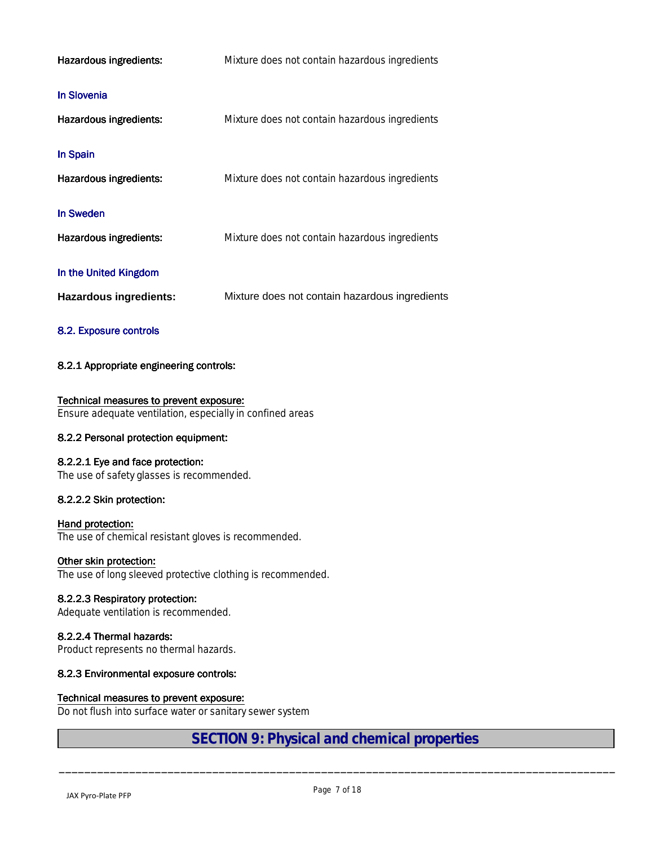| Hazardous ingredients:                                 | Mixture does not contain hazardous ingredients |
|--------------------------------------------------------|------------------------------------------------|
| <b>In Slovenia</b><br><b>Hazardous ingredients:</b>    | Mixture does not contain hazardous ingredients |
| In Spain<br>Hazardous ingredients:                     | Mixture does not contain hazardous ingredients |
| <b>In Sweden</b><br>Hazardous ingredients:             | Mixture does not contain hazardous ingredients |
| In the United Kingdom<br><b>Hazardous ingredients:</b> | Mixture does not contain hazardous ingredients |

#### **8.2. Exposure controls**

#### **8.2.1 Appropriate engineering controls:**

#### **Technical measures to prevent exposure:**

Ensure adequate ventilation, especially in confined areas

#### **8.2.2 Personal protection equipment:**

#### **8.2.2.1 Eye and face protection:**

The use of safety glasses is recommended.

#### **8.2.2.2 Skin protection:**

#### **Hand protection:**

The use of chemical resistant gloves is recommended.

#### **Other skin protection:**

The use of long sleeved protective clothing is recommended.

#### **8.2.2.3 Respiratory protection:**

Adequate ventilation is recommended.

#### **8.2.2.4 Thermal hazards:**

Product represents no thermal hazards.

#### **8.2.3 Environmental exposure controls:**

#### **Technical measures to prevent exposure:**

Do not flush into surface water or sanitary sewer system

## **SECTION 9: Physical and chemical properties**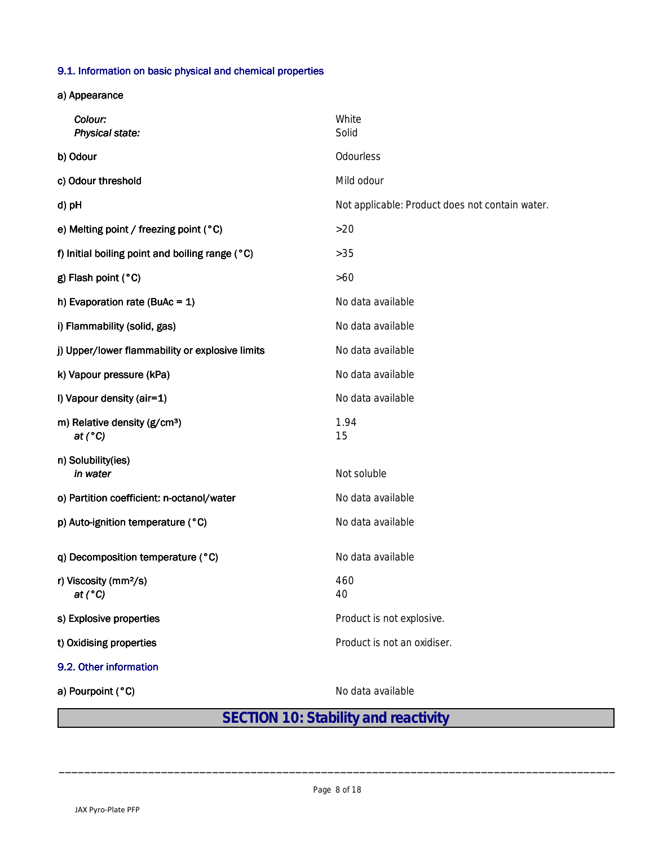#### **9.1. Information on basic physical and chemical properties**

**a) Appearance**

| Colour:<br>Physical state:                                   | White<br>Solid                                  |
|--------------------------------------------------------------|-------------------------------------------------|
| b) Odour                                                     | Odourless                                       |
| c) Odour threshold                                           | Mild odour                                      |
| d) pH                                                        | Not applicable: Product does not contain water. |
| e) Melting point / freezing point (°C)                       | $>20$                                           |
| f) Initial boiling point and boiling range (°C)              | $>35$                                           |
| g) Flash point (°C)                                          | $>60$                                           |
| h) Evaporation rate (BuAc = $1$ )                            | No data available                               |
| i) Flammability (solid, gas)                                 | No data available                               |
| j) Upper/lower flammability or explosive limits              | No data available                               |
| k) Vapour pressure (kPa)                                     | No data available                               |
| I) Vapour density (air=1)                                    | No data available                               |
| m) Relative density (g/cm <sup>3</sup> )<br>at $(^{\circ}C)$ | 1.94<br>15                                      |
| n) Solubility(ies)<br>in water                               | Not soluble                                     |
| o) Partition coefficient: n-octanol/water                    | No data available                               |
| p) Auto-ignition temperature (°C)                            | No data available                               |
| q) Decomposition temperature (°C)                            | No data available                               |
| r) Viscosity (mm <sup>2</sup> /s)<br>at $(^{\circ}C)$        | 460<br>40                                       |
| s) Explosive properties                                      | Product is not explosive.                       |
| t) Oxidising properties                                      | Product is not an oxidiser.                     |
| 9.2. Other information                                       |                                                 |
| a) Pourpoint (°C)                                            | No data available                               |

# **SECTION 10: Stability and reactivity**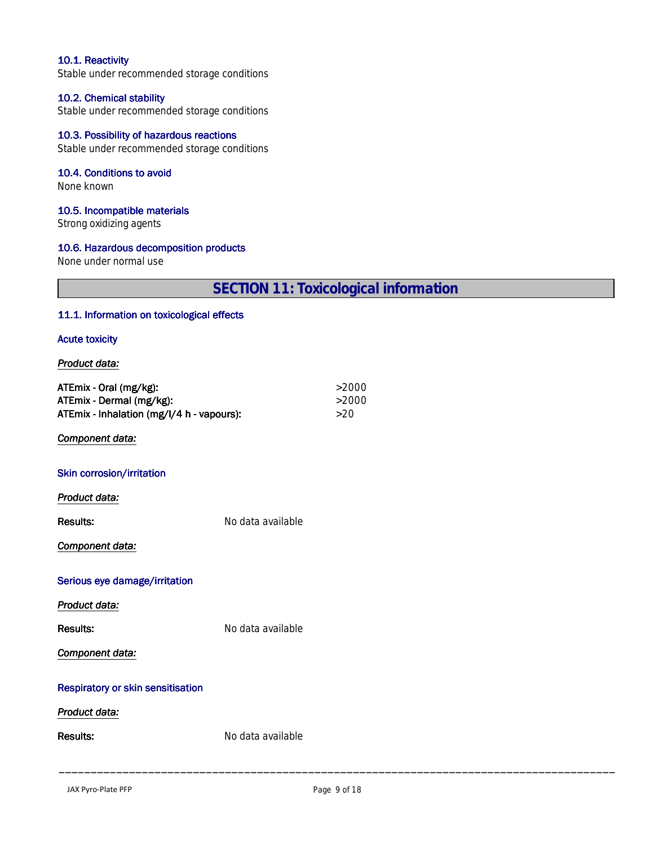#### **10.1. Reactivity**

Stable under recommended storage conditions

#### **10.2. Chemical stability**

Stable under recommended storage conditions

#### **10.3. Possibility of hazardous reactions**

Stable under recommended storage conditions

#### **10.4. Conditions to avoid**

None known

#### **10.5. Incompatible materials**

Strong oxidizing agents

#### **10.6. Hazardous decomposition products**

None under normal use

**SECTION 11: Toxicological information**

#### **11.1. Information on toxicological effects**

#### **Acute toxicity**

#### *Product data:*

| ATEmix - Oral (mg/kg):<br>ATEmix - Dermal (mg/kg): |                   | >2000<br>>2000 |  |
|----------------------------------------------------|-------------------|----------------|--|
| ATEmix - Inhalation (mg/l/4 h - vapours):          |                   | >20            |  |
| Component data:                                    |                   |                |  |
| Skin corrosion/irritation                          |                   |                |  |
| Product data:                                      |                   |                |  |
| <b>Results:</b>                                    | No data available |                |  |
| Component data:                                    |                   |                |  |
| Serious eye damage/irritation                      |                   |                |  |
| Product data:                                      |                   |                |  |
| <b>Results:</b>                                    | No data available |                |  |
| Component data:                                    |                   |                |  |
| <b>Respiratory or skin sensitisation</b>           |                   |                |  |
| Product data:                                      |                   |                |  |
| <b>Results:</b>                                    | No data available |                |  |
|                                                    |                   |                |  |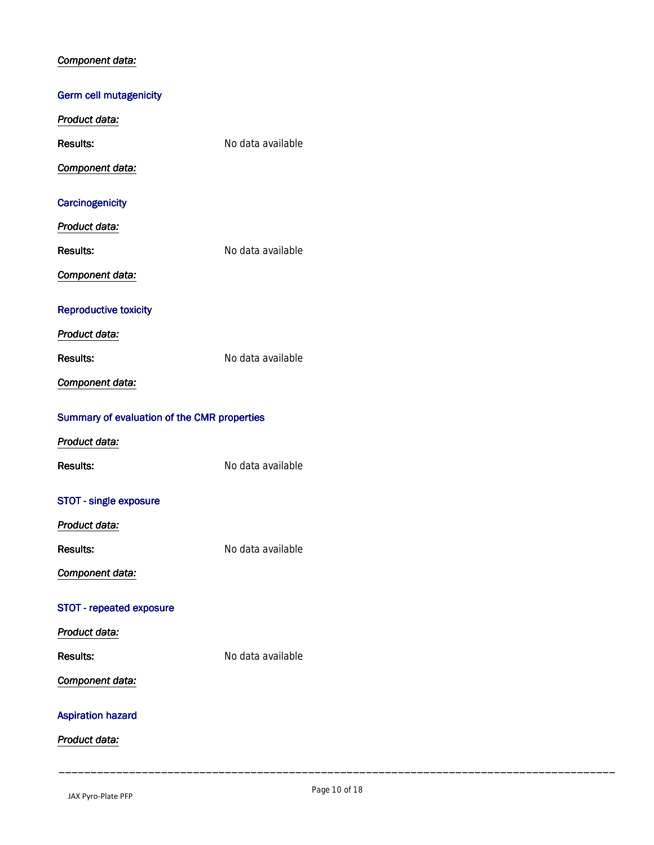#### *Component data:*

# **Germ cell mutagenicity** *Product data:* **Results:**<br>Results:<br>Results: *Component data:* **Carcinogenicity** *Product data:* **Results:** Results: Results: *Component data:* **Reproductive toxicity** *Product data:* **Results:** No data available *Component data:* **Summary of evaluation of the CMR properties** *Product data:* **Results:** No data available **STOT - single exposure** *Product data:* **Results:** No data available *Component data:* **STOT - repeated exposure** *Product data:* **Results:** Results: Results: *Component data:* **Aspiration hazard** *Product data:*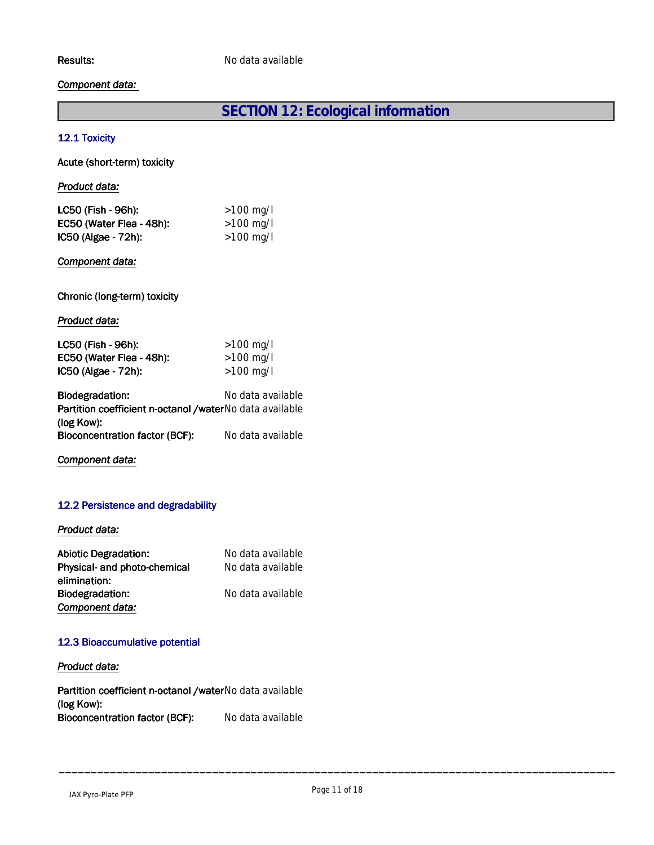#### *Component data:*

# **SECTION 12: Ecological information**

#### **12.1 Toxicity**

**Acute (short-term) toxicity**

| Product data:                                                                |                   |  |  |
|------------------------------------------------------------------------------|-------------------|--|--|
| LC50 (Fish - 96h):                                                           | $>100$ mg/l       |  |  |
| EC50 (Water Flea - 48h):                                                     | $>100$ mg/l       |  |  |
| IC50 (Algae - 72h):                                                          | $>100$ mg/l       |  |  |
| Component data:                                                              |                   |  |  |
| Chronic (long-term) toxicity                                                 |                   |  |  |
| Product data:                                                                |                   |  |  |
| LC50 (Fish - 96h):                                                           | $>100$ mg/l       |  |  |
| EC50 (Water Flea - 48h):                                                     | $>100$ mg/l       |  |  |
| IC50 (Algae - 72h):                                                          | >100 mg/l         |  |  |
| <b>Biodegradation:</b>                                                       | No data available |  |  |
| <b>Partition coefficient n-octanol /waterNo data available</b><br>(log Kow): |                   |  |  |
| <b>Bioconcentration factor (BCF):</b> No data available                      |                   |  |  |

*Component data:*

#### **12.2 Persistence and degradability**

#### *Product data:*

| <b>Abiotic Degradation:</b>  | No data available |
|------------------------------|-------------------|
| Physical- and photo-chemical | No data available |
| elimination:                 |                   |
| <b>Biodegradation:</b>       | No data available |
| Component data:              |                   |

#### **12.3 Bioaccumulative potential**

#### *Product data:*

**Partition coefficient n-octanol /water** No data available (log Kow): **Bioconcentration factor (BCF):** No data available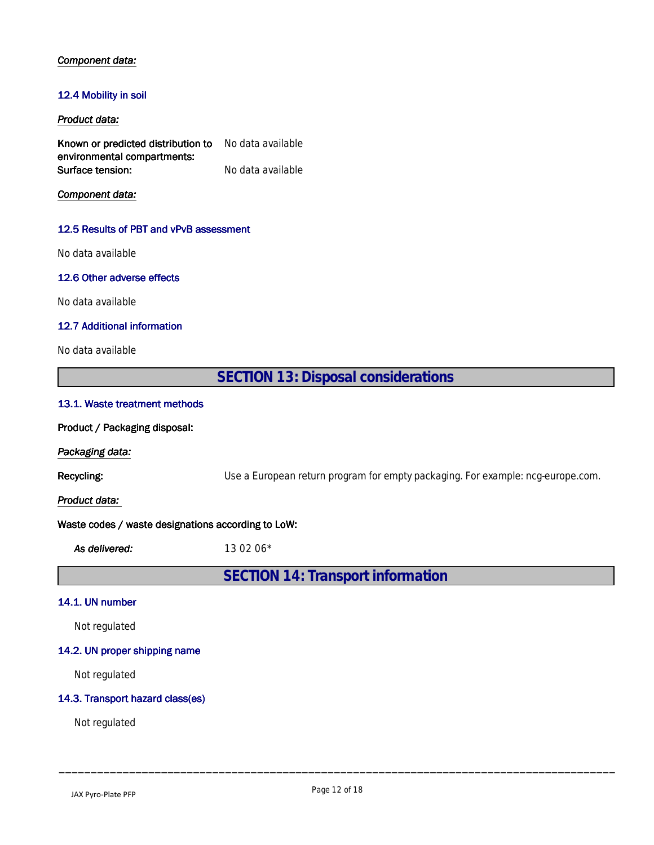#### *Component data:*

#### **12.4 Mobility in soil**

#### *Product data:*

**Known or predicted distribution to environmental compartments:** No data available **Surface tension:** No data available

*Component data:*

#### **12.5 Results of PBT and vPvB assessment**

No data available

#### **12.6 Other adverse effects**

No data available

#### **12.7 Additional information**

No data available

**SECTION 13: Disposal considerations 13.1. Waste treatment methods Product / Packaging disposal:**

*Packaging data:*

**Recycling:** Use a European return program for empty packaging. For example: ncg-europe.com.

*Product data:* 

#### **Waste codes / waste designations according to LoW:**

*As delivered:* 13 02 06\*

**SECTION 14: Transport information**

#### **14.1. UN number**

Not regulated

#### **14.2. UN proper shipping name**

Not regulated

#### **14.3. Transport hazard class(es)**

Not regulated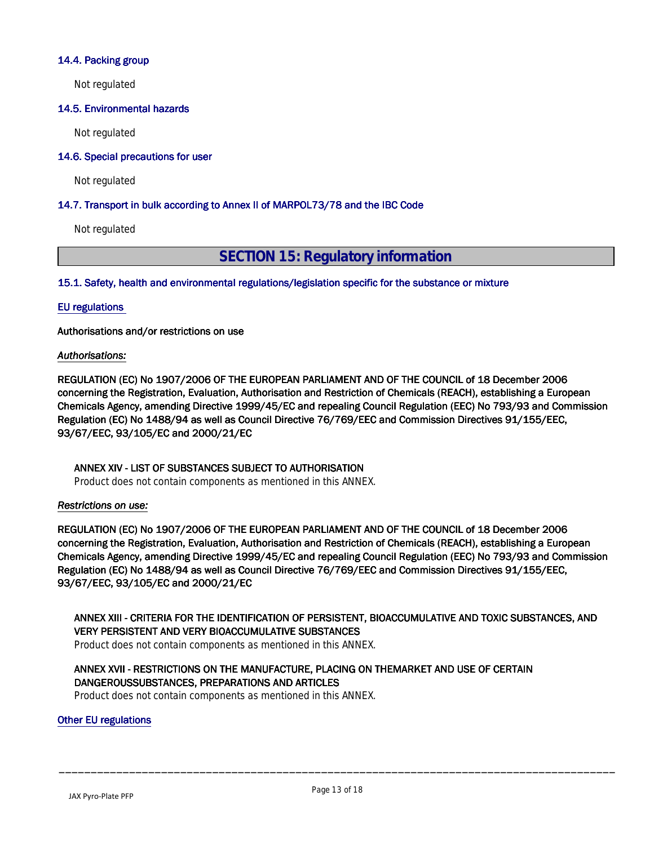#### **14.4. Packing group**

Not regulated

#### **14.5. Environmental hazards**

Not regulated

#### **14.6. Special precautions for user**

Not regulated

#### **14.7. Transport in bulk according to Annex II of MARPOL73/78 and the IBC Code**

Not regulated

# **SECTION 15: Regulatory information**

**15.1. Safety, health and environmental regulations/legislation specific for the substance or mixture**

#### **EU regulations**

**Authorisations and/or restrictions on use**

#### *Authorisations:*

**REGULATION (EC) No 1907/2006 OF THE EUROPEAN PARLIAMENT AND OF THE COUNCIL of 18 December 2006 concerning the Registration, Evaluation, Authorisation and Restriction of Chemicals (REACH), establishing a European Chemicals Agency, amending Directive 1999/45/EC and repealing Council Regulation (EEC) No 793/93 and Commission Regulation (EC) No 1488/94 as well as Council Directive 76/769/EEC and Commission Directives 91/155/EEC, 93/67/EEC, 93/105/EC and 2000/21/EC**

#### **ANNEX XIV - LIST OF SUBSTANCES SUBJECT TO AUTHORISATION**

Product does not contain components as mentioned in this ANNEX.

#### *Restrictions on use:*

**REGULATION (EC) No 1907/2006 OF THE EUROPEAN PARLIAMENT AND OF THE COUNCIL of 18 December 2006 concerning the Registration, Evaluation, Authorisation and Restriction of Chemicals (REACH), establishing a European Chemicals Agency, amending Directive 1999/45/EC and repealing Council Regulation (EEC) No 793/93 and Commission Regulation (EC) No 1488/94 as well as Council Directive 76/769/EEC and Commission Directives 91/155/EEC, 93/67/EEC, 93/105/EC and 2000/21/EC**

**ANNEX XIII - CRITERIA FOR THE IDENTIFICATION OF PERSISTENT, BIOACCUMULATIVE AND TOXIC SUBSTANCES, AND VERY PERSISTENT AND VERY BIOACCUMULATIVE SUBSTANCES**

Product does not contain components as mentioned in this ANNEX.

#### **ANNEX XVII - RESTRICTIONS ON THE MANUFACTURE, PLACING ON THEMARKET AND USE OF CERTAIN DANGEROUSSUBSTANCES, PREPARATIONS AND ARTICLES**

Product does not contain components as mentioned in this ANNEX.

#### **Other EU regulations**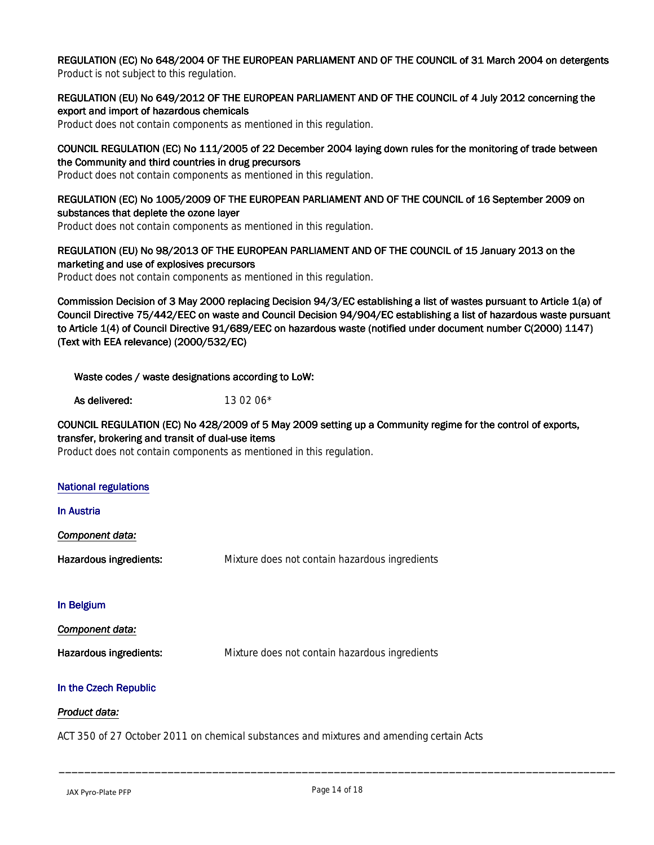**REGULATION (EC) No 648/2004 OF THE EUROPEAN PARLIAMENT AND OF THE COUNCIL of 31 March 2004 on detergents** Product is not subject to this regulation.

#### **REGULATION (EU) No 649/2012 OF THE EUROPEAN PARLIAMENT AND OF THE COUNCIL of 4 July 2012 concerning the export and import of hazardous chemicals**

Product does not contain components as mentioned in this regulation.

#### **COUNCIL REGULATION (EC) No 111/2005 of 22 December 2004 laying down rules for the monitoring of trade between the Community and third countries in drug precursors**

Product does not contain components as mentioned in this regulation.

#### **REGULATION (EC) No 1005/2009 OF THE EUROPEAN PARLIAMENT AND OF THE COUNCIL of 16 September 2009 on substances that deplete the ozone layer**

Product does not contain components as mentioned in this regulation.

#### **REGULATION (EU) No 98/2013 OF THE EUROPEAN PARLIAMENT AND OF THE COUNCIL of 15 January 2013 on the marketing and use of explosives precursors**

Product does not contain components as mentioned in this regulation.

**Commission Decision of 3 May 2000 replacing Decision 94/3/EC establishing a list of wastes pursuant to Article 1(a) of Council Directive 75/442/EEC on waste and Council Decision 94/904/EC establishing a list of hazardous waste pursuant to Article 1(4) of Council Directive 91/689/EEC on hazardous waste (notified under document number C(2000) 1147) (Text with EEA relevance) (2000/532/EC)**

**Waste codes / waste designations according to LoW:**

**As delivered:** 13 02 06<sup>\*</sup>

#### **COUNCIL REGULATION (EC) No 428/2009 of 5 May 2009 setting up a Community regime for the control of exports, transfer, brokering and transit of dual-use items**

Product does not contain components as mentioned in this regulation.

| <b>National regulations</b> |                                                |
|-----------------------------|------------------------------------------------|
| <b>In Austria</b>           |                                                |
| Component data:             |                                                |
| Hazardous ingredients:      | Mixture does not contain hazardous ingredients |
| In Belgium                  |                                                |
| Component data:             |                                                |
| Hazardous ingredients:      | Mixture does not contain hazardous ingredients |
| In the Czech Republic       |                                                |

#### *Product data:*

ACT 350 of 27 October 2011 on chemical substances and mixtures and amending certain Acts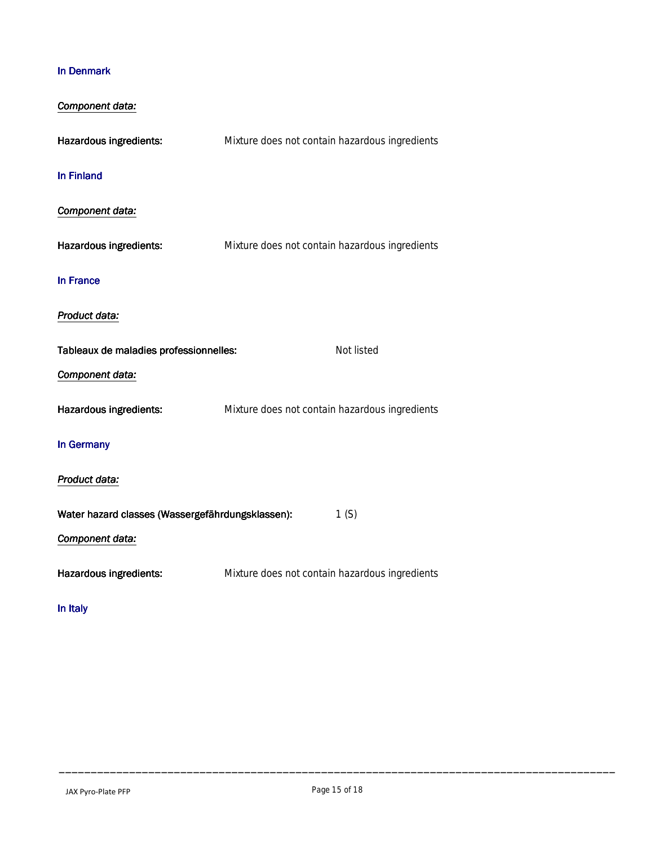### **In Denmark**

| Component data:                                  |                                                |            |
|--------------------------------------------------|------------------------------------------------|------------|
| Hazardous ingredients:                           | Mixture does not contain hazardous ingredients |            |
| <b>In Finland</b>                                |                                                |            |
| Component data:                                  |                                                |            |
| Hazardous ingredients:                           | Mixture does not contain hazardous ingredients |            |
| In France                                        |                                                |            |
| Product data:                                    |                                                |            |
| Tableaux de maladies professionnelles:           |                                                | Not listed |
| Component data:                                  |                                                |            |
| Hazardous ingredients:                           | Mixture does not contain hazardous ingredients |            |
| In Germany                                       |                                                |            |
| Product data:                                    |                                                |            |
| Water hazard classes (Wassergefährdungsklassen): |                                                | 1(S)       |
| Component data:                                  |                                                |            |
| <b>Hazardous ingredients:</b>                    | Mixture does not contain hazardous ingredients |            |
| In Italy                                         |                                                |            |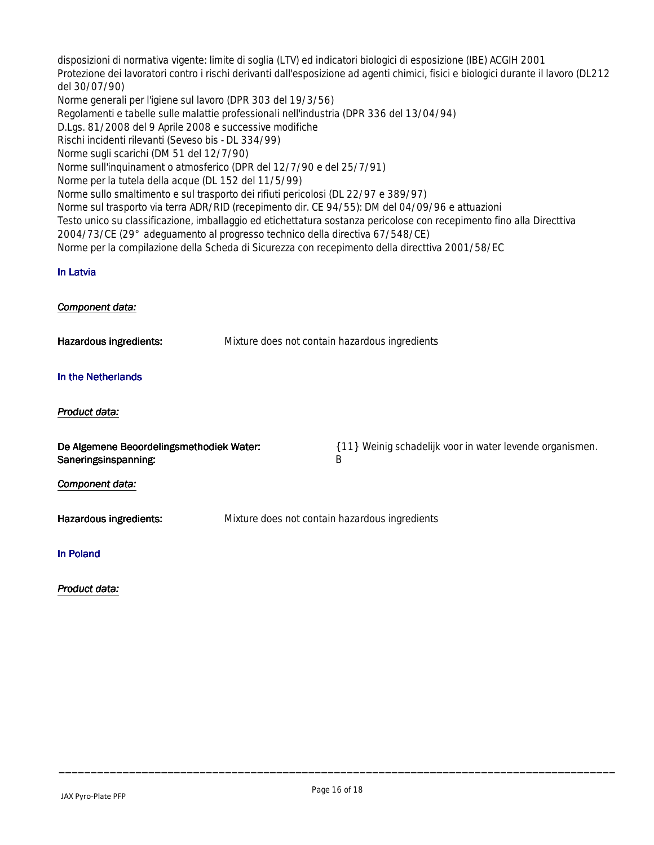disposizioni di normativa vigente: limite di soglia (LTV) ed indicatori biologici di esposizione (IBE) ACGIH 2001 Protezione dei lavoratori contro i rischi derivanti dall'esposizione ad agenti chimici, fisici e biologici durante il lavoro (DL212 del 30/07/90) Norme generali per l'igiene sul lavoro (DPR 303 del 19/3/56) Regolamenti e tabelle sulle malattie professionali nell'industria (DPR 336 del 13/04/94) D.Lgs. 81/2008 del 9 Aprile 2008 e successive modifiche Rischi incidenti rilevanti (Seveso bis - DL 334/99) Norme sugli scarichi (DM 51 del 12/7/90) Norme sull'inquinament o atmosferico (DPR del 12/7/90 e del 25/7/91) Norme per la tutela della acque (DL 152 del 11/5/99) Norme sullo smaltimento e sul trasporto dei rifiuti pericolosi (DL 22/97 e 389/97) Norme sul trasporto via terra ADR/RID (recepimento dir. CE 94/55): DM del 04/09/96 e attuazioni Testo unico su classificazione, imballaggio ed etichettatura sostanza pericolose con recepimento fino alla Directtiva 2004/73/CE (29° adeguamento al progresso technico della directiva 67/548/CE) Norme per la compilazione della Scheda di Sicurezza con recepimento della directtiva 2001/58/EC **In Latvia** *Component data:* **Hazardous ingredients:** Mixture does not contain hazardous ingredients **In the Netherlands**

#### *Product data:*

**Saneringsinspanning:** B

**De Algemene Beoordelingsmethodiek Water:** { 11} Weinig schadelijk voor in water levende organismen.

#### *Component data:*

**Hazardous ingredients:** Mixture does not contain hazardous ingredients

#### **In Poland**

#### *Product data:*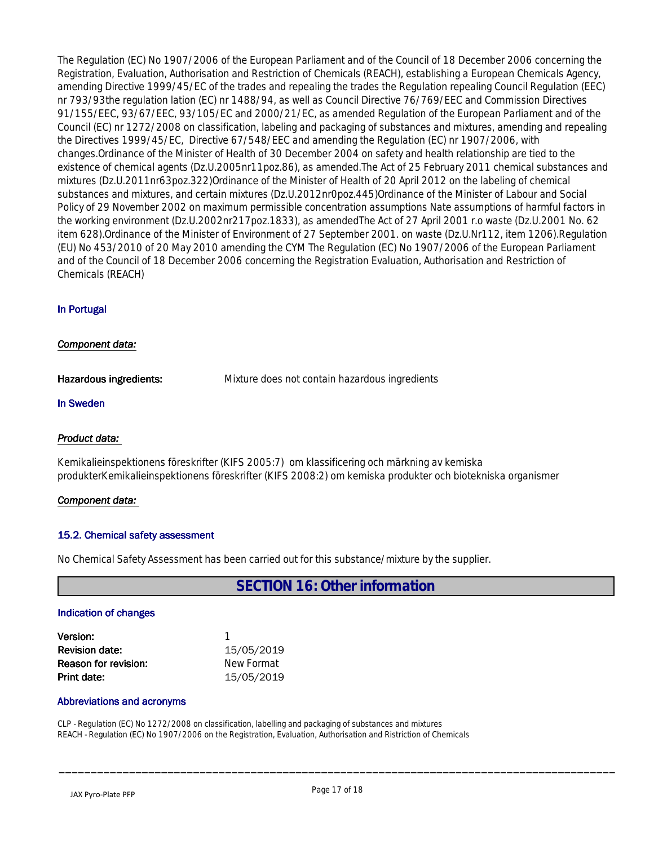The Regulation (EC) No 1907/2006 of the European Parliament and of the Council of 18 December 2006 concerning the Registration, Evaluation, Authorisation and Restriction of Chemicals (REACH), establishing a European Chemicals Agency, amending Directive 1999/45/EC of the trades and repealing the trades the Regulation repealing Council Regulation (EEC) nr 793/93the regulation lation (EC) nr 1488/94, as well as Council Directive 76/769/EEC and Commission Directives 91/155/EEC, 93/67/EEC, 93/105/EC and 2000/21/EC, as amended Regulation of the European Parliament and of the Council (EC) nr 1272/2008 on classification, labeling and packaging of substances and mixtures, amending and repealing the Directives 1999/45/EC, Directive 67/548/EEC and amending the Regulation (EC) nr 1907/2006, with changes.Ordinance of the Minister of Health of 30 December 2004 on safety and health relationship are tied to the existence of chemical agents (Dz.U.2005nr11poz.86), as amended.The Act of 25 February 2011 chemical substances and mixtures (Dz.U.2011nr63poz.322)Ordinance of the Minister of Health of 20 April 2012 on the labeling of chemical substances and mixtures, and certain mixtures (Dz.U.2012nr0poz.445)Ordinance of the Minister of Labour and Social Policy of 29 November 2002 on maximum permissible concentration assumptions Nate assumptions of harmful factors in the working environment (Dz.U.2002nr217poz.1833), as amendedThe Act of 27 April 2001 r.o waste (Dz.U.2001 No. 62 item 628).Ordinance of the Minister of Environment of 27 September 2001. on waste (Dz.U.Nr112, item 1206).Regulation (EU) No 453/2010 of 20 May 2010 amending the CYM The Regulation (EC) No 1907/2006 of the European Parliament and of the Council of 18 December 2006 concerning the Registration Evaluation, Authorisation and Restriction of Chemicals (REACH)

#### **In Portugal**

#### *Component data:*

**Hazardous ingredients:** Mixture does not contain hazardous ingredients

#### **In Sweden**

#### *Product data:*

Kemikalieinspektionens föreskrifter (KIFS 2005:7) om klassificering och märkning av kemiska produkterKemikalieinspektionens föreskrifter (KIFS 2008:2) om kemiska produkter och biotekniska organismer

#### *Component data:*

#### **15.2. Chemical safety assessment**

No Chemical Safety Assessment has been carried out for this substance/mixture by the supplier.

**SECTION 16: Other information**

#### **Indication of changes**

| <b>Version:</b>       |            |
|-----------------------|------------|
| <b>Revision date:</b> | 15/05/2019 |
| Reason for revision:  | New Format |
| Print date:           | 15/05/2019 |

#### **Abbreviations and acronyms**

CLP - Regulation (EC) No 1272/2008 on classification, labelling and packaging of substances and mixtures REACH - Regulation (EC) No 1907/2006 on the Registration, Evaluation, Authorisation and Ristriction of Chemicals